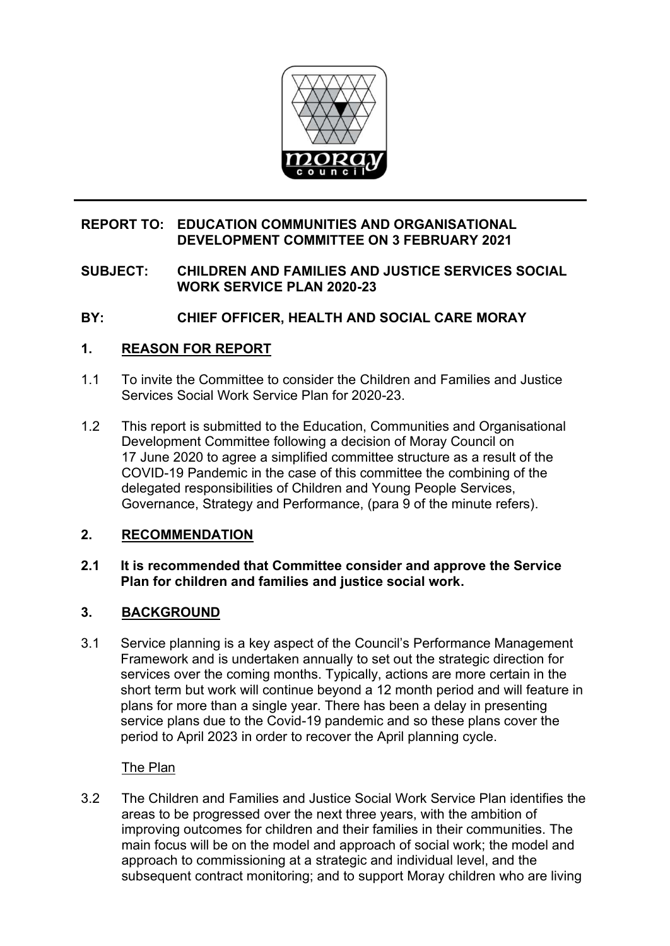

# **REPORT TO: EDUCATION COMMUNITIES AND ORGANISATIONAL DEVELOPMENT COMMITTEE ON 3 FEBRUARY 2021**

# **SUBJECT: CHILDREN AND FAMILIES AND JUSTICE SERVICES SOCIAL WORK SERVICE PLAN 2020-23**

# **BY: CHIEF OFFICER, HEALTH AND SOCIAL CARE MORAY**

# **1. REASON FOR REPORT**

- 1.1 To invite the Committee to consider the Children and Families and Justice Services Social Work Service Plan for 2020-23.
- 1.2 This report is submitted to the Education, Communities and Organisational Development Committee following a decision of Moray Council on 17 June 2020 to agree a simplified committee structure as a result of the COVID-19 Pandemic in the case of this committee the combining of the delegated responsibilities of Children and Young People Services, Governance, Strategy and Performance, (para 9 of the minute refers).

# **2. RECOMMENDATION**

### **2.1 It is recommended that Committee consider and approve the Service Plan for children and families and justice social work.**

# **3. BACKGROUND**

3.1 Service planning is a key aspect of the Council's Performance Management Framework and is undertaken annually to set out the strategic direction for services over the coming months. Typically, actions are more certain in the short term but work will continue beyond a 12 month period and will feature in plans for more than a single year. There has been a delay in presenting service plans due to the Covid-19 pandemic and so these plans cover the period to April 2023 in order to recover the April planning cycle.

The Plan

3.2 The Children and Families and Justice Social Work Service Plan identifies the areas to be progressed over the next three years, with the ambition of improving outcomes for children and their families in their communities. The main focus will be on the model and approach of social work; the model and approach to commissioning at a strategic and individual level, and the subsequent contract monitoring; and to support Moray children who are living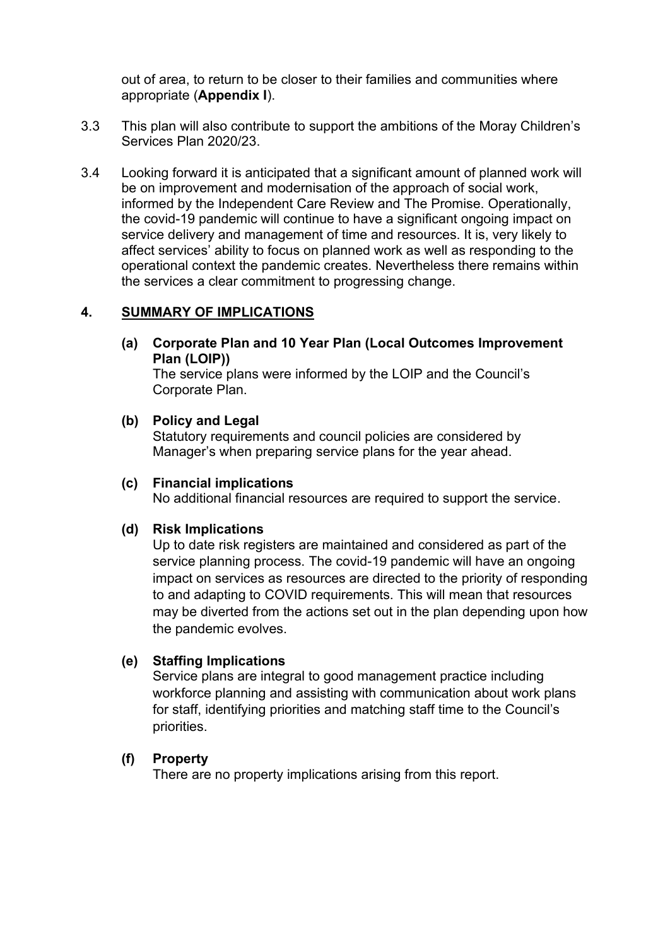out of area, to return to be closer to their families and communities where appropriate (**Appendix I**).

- 3.3 This plan will also contribute to support the ambitions of the Moray Children's Services Plan 2020/23.
- 3.4 Looking forward it is anticipated that a significant amount of planned work will be on improvement and modernisation of the approach of social work, informed by the Independent Care Review and The Promise. Operationally, the covid-19 pandemic will continue to have a significant ongoing impact on service delivery and management of time and resources. It is, very likely to affect services' ability to focus on planned work as well as responding to the operational context the pandemic creates. Nevertheless there remains within the services a clear commitment to progressing change.

### **4. SUMMARY OF IMPLICATIONS**

**(a) Corporate Plan and 10 Year Plan (Local Outcomes Improvement Plan (LOIP))** 

The service plans were informed by the LOIP and the Council's Corporate Plan.

**(b) Policy and Legal** 

Statutory requirements and council policies are considered by Manager's when preparing service plans for the year ahead.

### **(c) Financial implications**

No additional financial resources are required to support the service.

#### **(d) Risk Implications**

Up to date risk registers are maintained and considered as part of the service planning process. The covid-19 pandemic will have an ongoing impact on services as resources are directed to the priority of responding to and adapting to COVID requirements. This will mean that resources may be diverted from the actions set out in the plan depending upon how the pandemic evolves.

### **(e) Staffing Implications**

Service plans are integral to good management practice including workforce planning and assisting with communication about work plans for staff, identifying priorities and matching staff time to the Council's priorities.

### **(f) Property**

There are no property implications arising from this report.